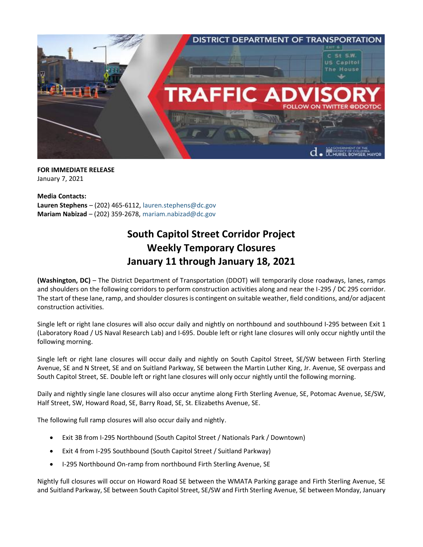

**FOR IMMEDIATE RELEASE** January 7, 2021

**Media Contacts: Lauren Stephens** – (202) 465-6112, [lauren.stephens@dc.gov](mailto:lauren.stephens@dc.gov) **Mariam Nabizad** – (202) 359-2678, [mariam.nabizad@dc.gov](mailto:mariam.nabizad@dc.gov)

## **South Capitol Street Corridor Project Weekly Temporary Closures January 11 through January 18, 2021**

**(Washington, DC)** – The District Department of Transportation (DDOT) will temporarily close roadways, lanes, ramps and shoulders on the following corridors to perform construction activities along and near the I-295 / DC 295 corridor. The start of these lane, ramp, and shoulder closures is contingent on suitable weather, field conditions, and/or adjacent construction activities.

Single left or right lane closures will also occur daily and nightly on northbound and southbound I-295 between Exit 1 (Laboratory Road / US Naval Research Lab) and I-695. Double left or right lane closures will only occur nightly until the following morning.

Single left or right lane closures will occur daily and nightly on South Capitol Street, SE/SW between Firth Sterling Avenue, SE and N Street, SE and on Suitland Parkway, SE between the Martin Luther King, Jr. Avenue, SE overpass and South Capitol Street, SE. Double left or right lane closures will only occur nightly until the following morning.

Daily and nightly single lane closures will also occur anytime along Firth Sterling Avenue, SE, Potomac Avenue, SE/SW, Half Street, SW, Howard Road, SE, Barry Road, SE, St. Elizabeths Avenue, SE.

The following full ramp closures will also occur daily and nightly.

- Exit 3B from I-295 Northbound (South Capitol Street / Nationals Park / Downtown)
- Exit 4 from I-295 Southbound (South Capitol Street / Suitland Parkway)
- I-295 Northbound On-ramp from northbound Firth Sterling Avenue, SE

Nightly full closures will occur on Howard Road SE between the WMATA Parking garage and Firth Sterling Avenue, SE and Suitland Parkway, SE between South Capitol Street, SE/SW and Firth Sterling Avenue, SE between Monday, January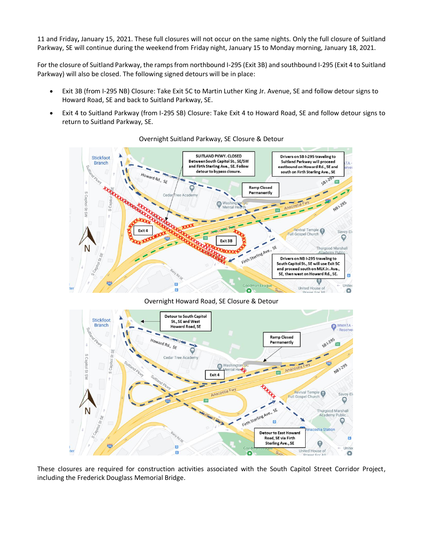11 and Friday**,** January 15, 2021. These full closures will not occur on the same nights. Only the full closure of Suitland Parkway, SE will continue during the weekend from Friday night, January 15 to Monday morning, January 18, 2021.

For the closure of Suitland Parkway, the ramps from northbound I-295 (Exit 3B) and southbound I-295 (Exit 4 to Suitland Parkway) will also be closed. The following signed detours will be in place:

- Exit 3B (from I-295 NB) Closure: Take Exit 5C to Martin Luther King Jr. Avenue, SE and follow detour signs to Howard Road, SE and back to Suitland Parkway, SE.
- Exit 4 to Suitland Parkway (from I-295 SB) Closure: Take Exit 4 to Howard Road, SE and follow detour signs to return to Suitland Parkway, SE.



Overnight Suitland Parkway, SE Closure & Detour

Overnight Howard Road, SE Closure & Detour



These closures are required for construction activities associated with the South Capitol Street Corridor Project, including the Frederick Douglass Memorial Bridge.